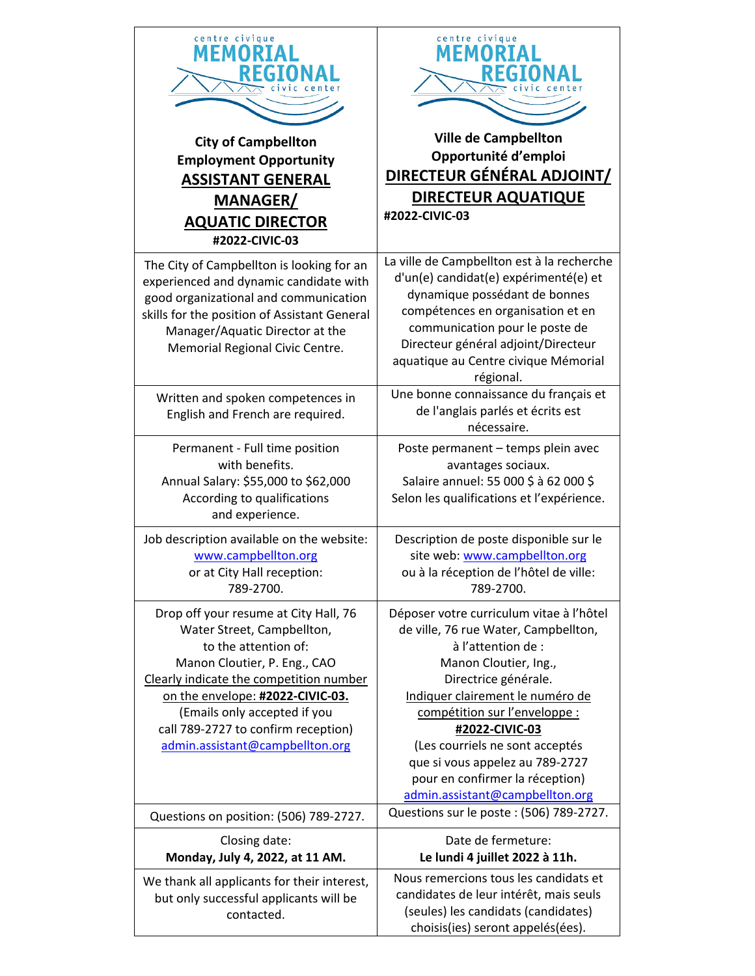| centre civique<br>FΜ<br><b>City of Campbellton</b><br><b>Employment Opportunity</b><br><b>ASSISTANT GENERAL</b><br><b>MANAGER/</b><br><b>AQUATIC DIRECTOR</b><br>#2022-CIVIC-03                                                                                                                                      | centre civique<br>MFM<br><b>Ville de Campbellton</b><br>Opportunité d'emploi<br>DIRECTEUR GÉNÉRAL ADJOINT/<br><b>DIRECTEUR AQUATIQUE</b><br>#2022-CIVIC-03                                                                                                                                                                                                                                 |
|----------------------------------------------------------------------------------------------------------------------------------------------------------------------------------------------------------------------------------------------------------------------------------------------------------------------|--------------------------------------------------------------------------------------------------------------------------------------------------------------------------------------------------------------------------------------------------------------------------------------------------------------------------------------------------------------------------------------------|
| The City of Campbellton is looking for an<br>experienced and dynamic candidate with<br>good organizational and communication<br>skills for the position of Assistant General<br>Manager/Aquatic Director at the<br>Memorial Regional Civic Centre.                                                                   | La ville de Campbellton est à la recherche<br>d'un(e) candidat(e) expérimenté(e) et<br>dynamique possédant de bonnes<br>compétences en organisation et en<br>communication pour le poste de<br>Directeur général adjoint/Directeur<br>aquatique au Centre civique Mémorial<br>régional.                                                                                                    |
| Written and spoken competences in<br>English and French are required.                                                                                                                                                                                                                                                | Une bonne connaissance du français et<br>de l'anglais parlés et écrits est<br>nécessaire.                                                                                                                                                                                                                                                                                                  |
| Permanent - Full time position<br>with benefits.<br>Annual Salary: \$55,000 to \$62,000<br>According to qualifications<br>and experience.                                                                                                                                                                            | Poste permanent - temps plein avec<br>avantages sociaux.<br>Salaire annuel: 55 000 \$ à 62 000 \$<br>Selon les qualifications et l'expérience.                                                                                                                                                                                                                                             |
| Job description available on the website:<br>www.campbellton.org<br>or at City Hall reception:<br>789-2700.                                                                                                                                                                                                          | Description de poste disponible sur le<br>site web: www.campbellton.org<br>ou à la réception de l'hôtel de ville:<br>789-2700.                                                                                                                                                                                                                                                             |
| Drop off your resume at City Hall, 76<br>Water Street, Campbellton,<br>to the attention of:<br>Manon Cloutier, P. Eng., CAO<br>Clearly indicate the competition number<br>on the envelope: #2022-CIVIC-03.<br>(Emails only accepted if you<br>call 789-2727 to confirm reception)<br>admin.assistant@campbellton.org | Déposer votre curriculum vitae à l'hôtel<br>de ville, 76 rue Water, Campbellton,<br>à l'attention de :<br>Manon Cloutier, Ing.,<br>Directrice générale.<br>Indiquer clairement le numéro de<br>compétition sur l'enveloppe :<br>#2022-CIVIC-03<br>(Les courriels ne sont acceptés<br>que si vous appelez au 789-2727<br>pour en confirmer la réception)<br>admin.assistant@campbellton.org |
| Questions on position: (506) 789-2727.                                                                                                                                                                                                                                                                               | Questions sur le poste : (506) 789-2727.                                                                                                                                                                                                                                                                                                                                                   |
| Closing date:<br>Monday, July 4, 2022, at 11 AM.<br>We thank all applicants for their interest,                                                                                                                                                                                                                      | Date de fermeture:<br>Le lundi 4 juillet 2022 à 11h.<br>Nous remercions tous les candidats et                                                                                                                                                                                                                                                                                              |
| but only successful applicants will be<br>contacted.                                                                                                                                                                                                                                                                 | candidates de leur intérêt, mais seuls<br>(seules) les candidats (candidates)<br>choisis(ies) seront appelés(ées).                                                                                                                                                                                                                                                                         |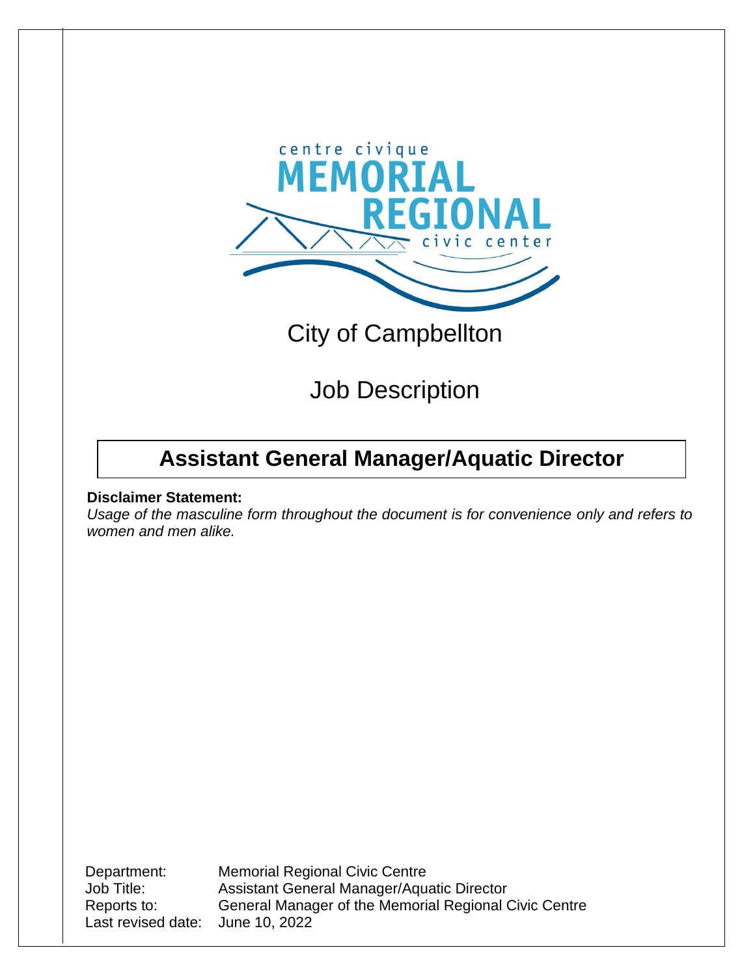

# City of Campbellton

# Job Description

## **Assistant General Manager/Aquatic Director**

### **Disclaimer Statement:**

*Usage of the masculine form throughout the document is for convenience only and refers to women and men alike.*

Last revised date: June 10, 2022

Department: Memorial Regional Civic Centre Job Title: Assistant General Manager/Aquatic Director Reports to: General Manager of the Memorial Regional Civic Centre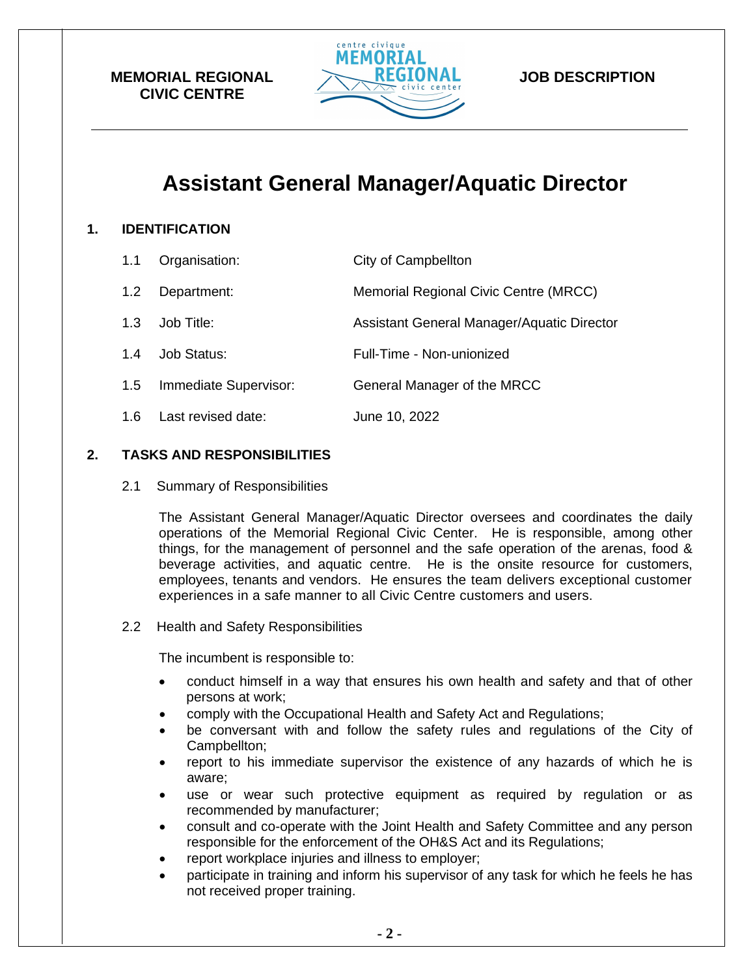

### **JOB DESCRIPTION**

## **Assistant General Manager/Aquatic Director**

### **1. IDENTIFICATION**

| 1.1 | Organisation:         | City of Campbellton                        |
|-----|-----------------------|--------------------------------------------|
| 1.2 | Department:           | Memorial Regional Civic Centre (MRCC)      |
| 1.3 | Job Title:            | Assistant General Manager/Aquatic Director |
| 1.4 | Job Status:           | Full-Time - Non-unionized                  |
| 1.5 | Immediate Supervisor: | General Manager of the MRCC                |
| 1.6 | Last revised date:    | June 10, 2022                              |

### **2. TASKS AND RESPONSIBILITIES**

2.1 Summary of Responsibilities

The Assistant General Manager/Aquatic Director oversees and coordinates the daily operations of the Memorial Regional Civic Center. He is responsible, among other things, for the management of personnel and the safe operation of the arenas, food & beverage activities, and aquatic centre. He is the onsite resource for customers, employees, tenants and vendors. He ensures the team delivers exceptional customer experiences in a safe manner to all Civic Centre customers and users.

2.2 Health and Safety Responsibilities

The incumbent is responsible to:

- conduct himself in a way that ensures his own health and safety and that of other persons at work;
- comply with the Occupational Health and Safety Act and Regulations;
- be conversant with and follow the safety rules and regulations of the City of Campbellton;
- report to his immediate supervisor the existence of any hazards of which he is aware;
- use or wear such protective equipment as required by regulation or as recommended by manufacturer;
- consult and co-operate with the Joint Health and Safety Committee and any person responsible for the enforcement of the OH&S Act and its Regulations;
- report workplace injuries and illness to employer;
- participate in training and inform his supervisor of any task for which he feels he has not received proper training.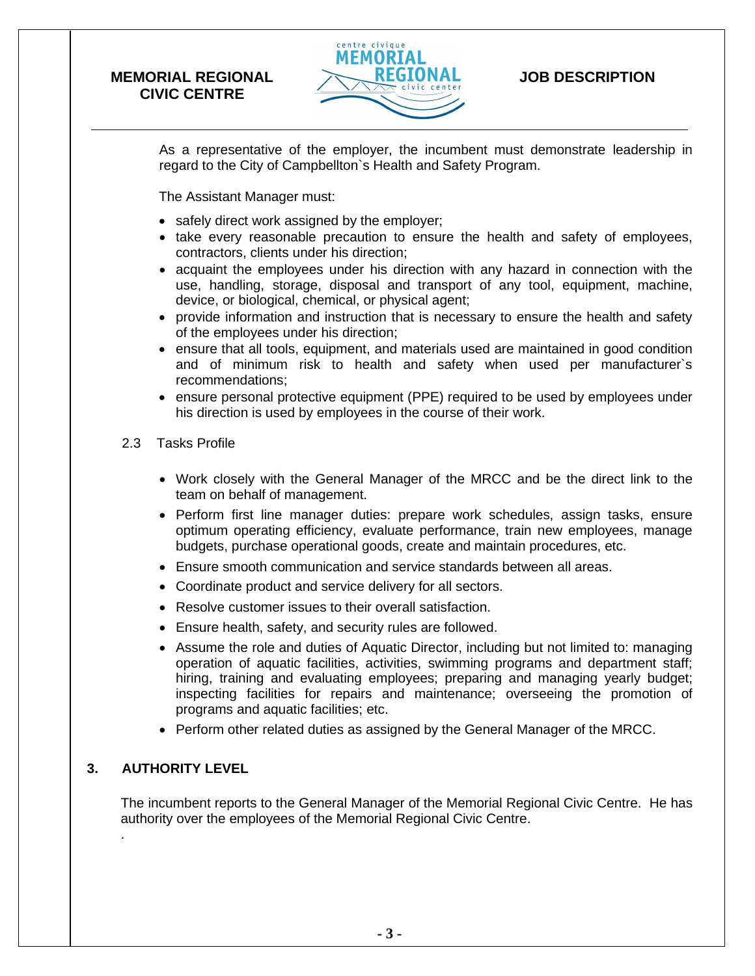

### **JOB DESCRIPTION**

As a representative of the employer, the incumbent must demonstrate leadership in regard to the City of Campbellton`s Health and Safety Program.

The Assistant Manager must:

- safely direct work assigned by the employer;
- take every reasonable precaution to ensure the health and safety of employees, contractors, clients under his direction;
- acquaint the employees under his direction with any hazard in connection with the use, handling, storage, disposal and transport of any tool, equipment, machine, device, or biological, chemical, or physical agent;
- provide information and instruction that is necessary to ensure the health and safety of the employees under his direction;
- ensure that all tools, equipment, and materials used are maintained in good condition and of minimum risk to health and safety when used per manufacturer`s recommendations;
- ensure personal protective equipment (PPE) required to be used by employees under his direction is used by employees in the course of their work.
- 2.3 Tasks Profile
	- Work closely with the General Manager of the MRCC and be the direct link to the team on behalf of management.
	- Perform first line manager duties: prepare work schedules, assign tasks, ensure optimum operating efficiency, evaluate performance, train new employees, manage budgets, purchase operational goods, create and maintain procedures, etc.
	- Ensure smooth communication and service standards between all areas.
	- Coordinate product and service delivery for all sectors.
	- Resolve customer issues to their overall satisfaction.
	- Ensure health, safety, and security rules are followed.
	- Assume the role and duties of Aquatic Director, including but not limited to: managing operation of aquatic facilities, activities, swimming programs and department staff; hiring, training and evaluating employees; preparing and managing yearly budget; inspecting facilities for repairs and maintenance; overseeing the promotion of programs and aquatic facilities; etc.
	- Perform other related duties as assigned by the General Manager of the MRCC.

### **3. AUTHORITY LEVEL**

.

The incumbent reports to the General Manager of the Memorial Regional Civic Centre. He has authority over the employees of the Memorial Regional Civic Centre.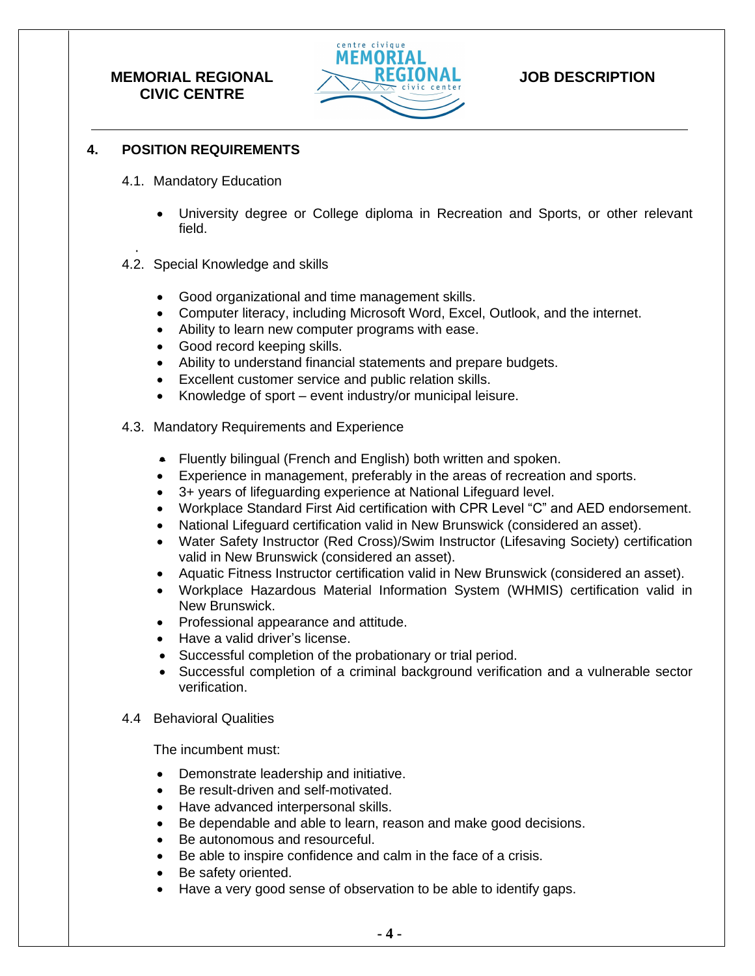

## **JOB DESCRIPTION**

### **4. POSITION REQUIREMENTS**

- 4.1. Mandatory Education
	- University degree or College diploma in Recreation and Sports, or other relevant field.
- . 4.2. Special Knowledge and skills
	- Good organizational and time management skills.
	- Computer literacy, including Microsoft Word, Excel, Outlook, and the internet.
	- Ability to learn new computer programs with ease.
	- Good record keeping skills.
	- Ability to understand financial statements and prepare budgets.
	- Excellent customer service and public relation skills.
	- Knowledge of sport event industry/or municipal leisure.
- 4.3. Mandatory Requirements and Experience
	- Fluently bilingual (French and English) both written and spoken.
	- Experience in management, preferably in the areas of recreation and sports.
	- 3+ years of lifeguarding experience at National Lifeguard level.
	- Workplace Standard First Aid certification with CPR Level "C" and AED endorsement.
	- National Lifeguard certification valid in New Brunswick (considered an asset).
	- Water Safety Instructor (Red Cross)/Swim Instructor (Lifesaving Society) certification valid in New Brunswick (considered an asset).
	- Aquatic Fitness Instructor certification valid in New Brunswick (considered an asset).
	- Workplace Hazardous Material Information System (WHMIS) certification valid in New Brunswick.
	- Professional appearance and attitude.
	- Have a valid driver's license.
	- Successful completion of the probationary or trial period.
	- Successful completion of a criminal background verification and a vulnerable sector verification.
- 4.4 Behavioral Qualities

The incumbent must:

- Demonstrate leadership and initiative.
- Be result-driven and self-motivated.
- Have advanced interpersonal skills.
- Be dependable and able to learn, reason and make good decisions.
- Be autonomous and resourceful.
- Be able to inspire confidence and calm in the face of a crisis.
- Be safety oriented.
- Have a very good sense of observation to be able to identify gaps.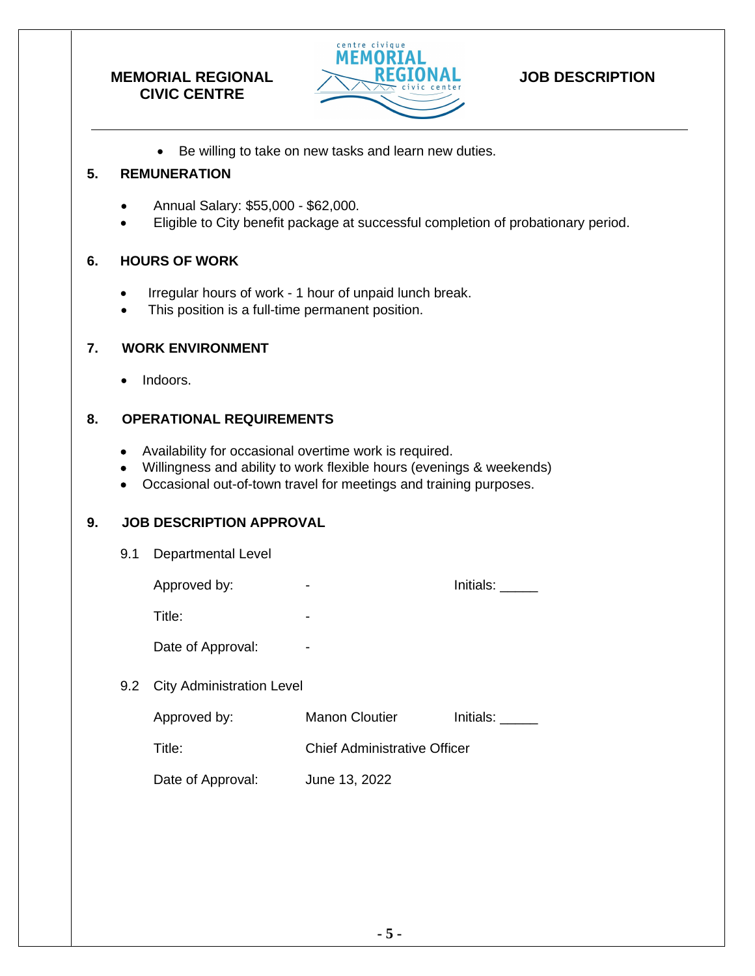

## **JOB DESCRIPTION**

• Be willing to take on new tasks and learn new duties.

### **5. REMUNERATION**

- Annual Salary: \$55,000 \$62,000.
- Eligible to City benefit package at successful completion of probationary period.

### **6. HOURS OF WORK**

- Irregular hours of work 1 hour of unpaid lunch break.
- This position is a full-time permanent position.

### **7. WORK ENVIRONMENT**

• Indoors.

### **8. OPERATIONAL REQUIREMENTS**

- Availability for occasional overtime work is required.
- Willingness and ability to work flexible hours (evenings & weekends)
- Occasional out-of-town travel for meetings and training purposes.

### **9. JOB DESCRIPTION APPROVAL**

| 9.1 | <b>Departmental Level</b>        |                                     |           |
|-----|----------------------------------|-------------------------------------|-----------|
|     | Approved by:                     | -                                   | Initials: |
|     | Title:                           |                                     |           |
|     | Date of Approval:                |                                     |           |
| 9.2 | <b>City Administration Level</b> |                                     |           |
|     | Approved by:                     | <b>Manon Cloutier</b>               | Initials: |
|     | Title:                           | <b>Chief Administrative Officer</b> |           |
|     | Date of Approval:                | June 13, 2022                       |           |
|     |                                  |                                     |           |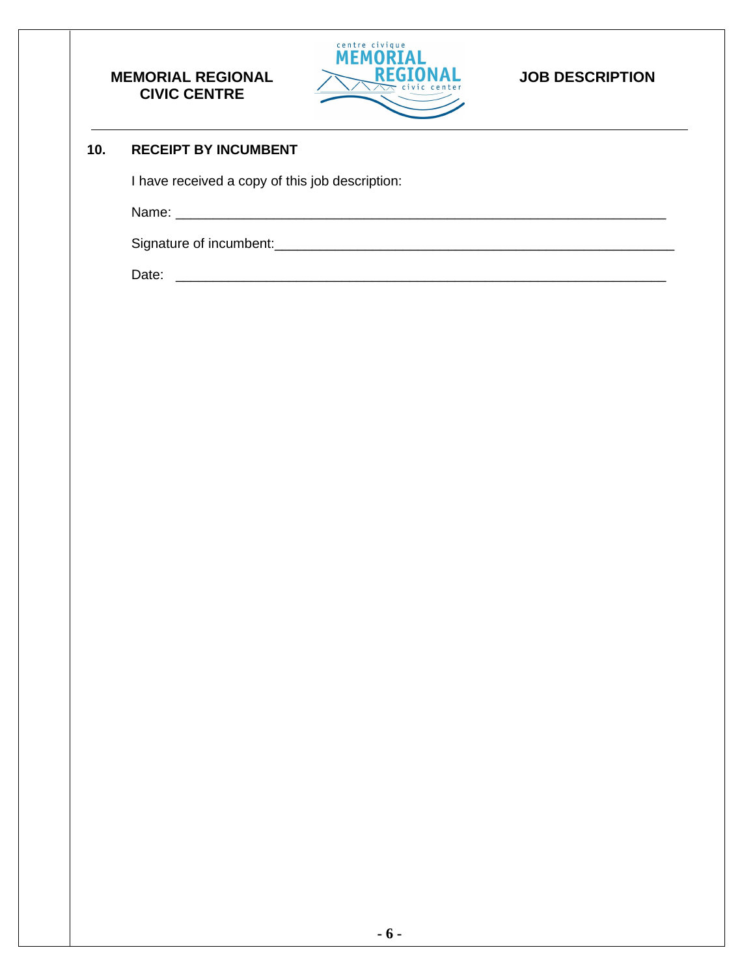

## **JOB DESCRIPTION**

### **10. RECEIPT BY INCUMBENT**

I have received a copy of this job description:

Name: \_\_\_\_\_\_\_\_\_\_\_\_\_\_\_\_\_\_\_\_\_\_\_\_\_\_\_\_\_\_\_\_\_\_\_\_\_\_\_\_\_\_\_\_\_\_\_\_\_\_\_\_\_\_\_\_\_\_\_\_\_\_\_\_\_

Signature of incumbent:\_\_\_\_\_\_\_\_\_\_\_\_\_\_\_\_\_\_\_\_\_\_\_\_\_\_\_\_\_\_\_\_\_\_\_\_\_\_\_\_\_\_\_\_\_\_\_\_\_\_\_\_\_

Date: \_\_\_\_\_\_\_\_\_\_\_\_\_\_\_\_\_\_\_\_\_\_\_\_\_\_\_\_\_\_\_\_\_\_\_\_\_\_\_\_\_\_\_\_\_\_\_\_\_\_\_\_\_\_\_\_\_\_\_\_\_\_\_\_\_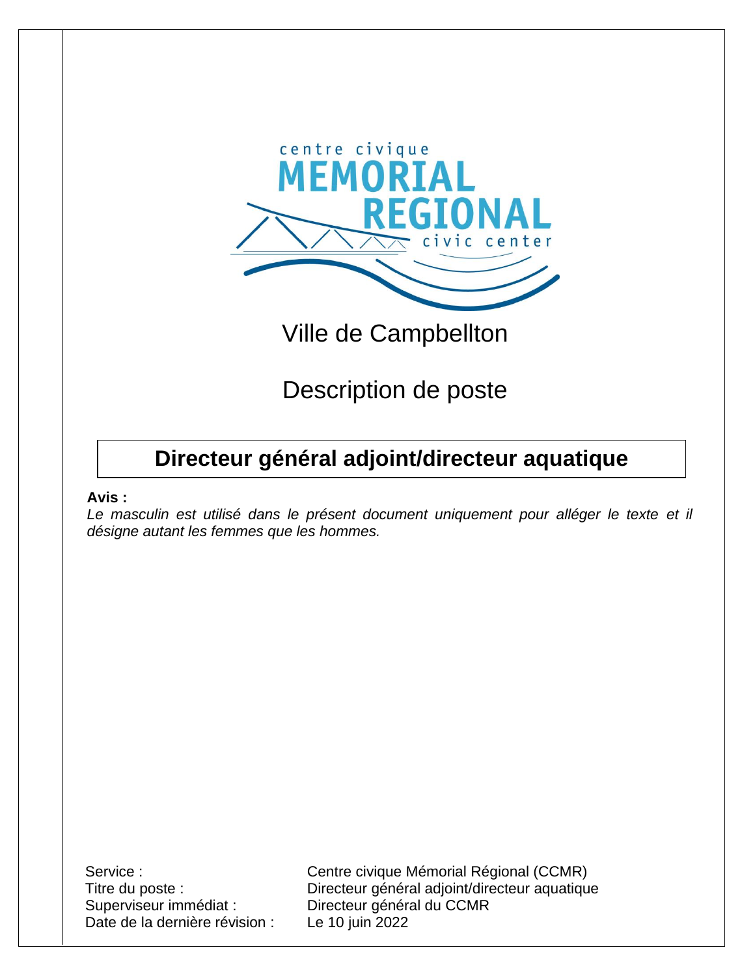

# Ville de Campbellton

Description de poste

## **Directeur général adjoint/directeur aquatique**

### **Avis :**

*Le masculin est utilisé dans le présent document uniquement pour alléger le texte et il désigne autant les femmes que les hommes.*

Superviseur immédiat : Directeur général du CCMR Date de la dernière révision : Le 10 juin 2022

Service : Centre civique Mémorial Régional (CCMR) Titre du poste : Directeur général adjoint/directeur aquatique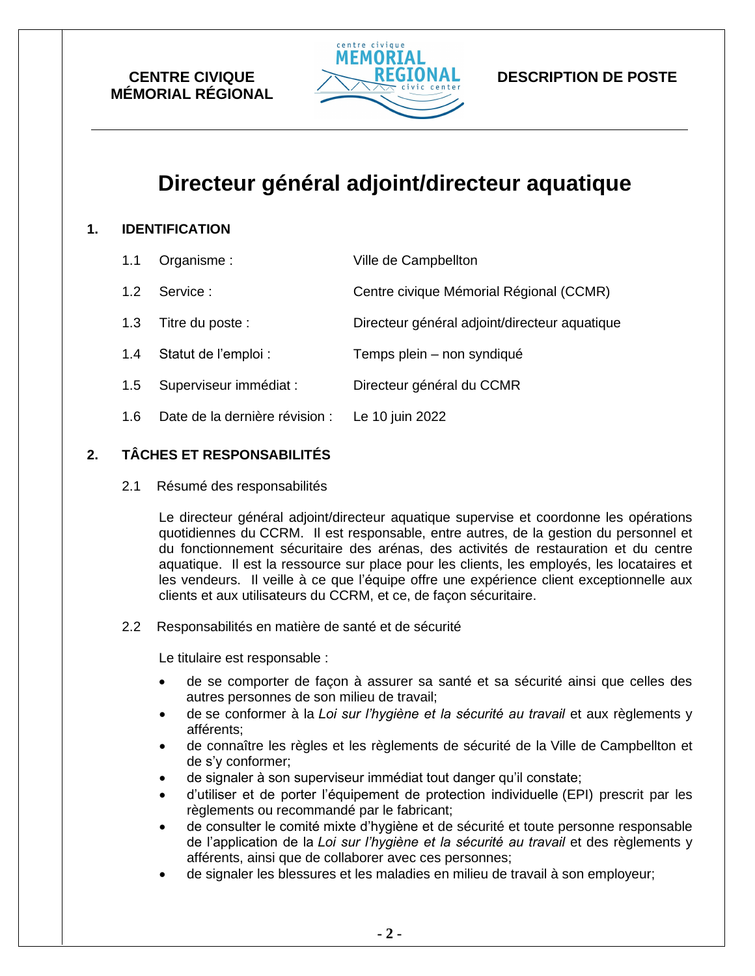

### **DESCRIPTION DE POSTE**

## **Directeur général adjoint/directeur aquatique**

### **1. IDENTIFICATION**

| 1.1 | Organisme:                     | Ville de Campbellton                          |
|-----|--------------------------------|-----------------------------------------------|
| 1.2 | Service:                       | Centre civique Mémorial Régional (CCMR)       |
| 1.3 | Titre du poste :               | Directeur général adjoint/directeur aquatique |
| 1.4 | Statut de l'emploi :           | Temps plein - non syndiqué                    |
| 1.5 | Superviseur immédiat :         | Directeur général du CCMR                     |
| 1.6 | Date de la dernière révision : | Le 10 juin 2022                               |

### **2. TÂCHES ET RESPONSABILITÉS**

2.1 Résumé des responsabilités

Le directeur général adjoint/directeur aquatique supervise et coordonne les opérations quotidiennes du CCRM. Il est responsable, entre autres, de la gestion du personnel et du fonctionnement sécuritaire des arénas, des activités de restauration et du centre aquatique. Il est la ressource sur place pour les clients, les employés, les locataires et les vendeurs. Il veille à ce que l'équipe offre une expérience client exceptionnelle aux clients et aux utilisateurs du CCRM, et ce, de façon sécuritaire.

### 2.2 Responsabilités en matière de santé et de sécurité

Le titulaire est responsable :

- de se comporter de façon à assurer sa santé et sa sécurité ainsi que celles des autres personnes de son milieu de travail;
- de se conformer à la *Loi sur l'hygiène et la sécurité au travail* et aux règlements y afférents;
- de connaître les règles et les règlements de sécurité de la Ville de Campbellton et de s'y conformer;
- de signaler à son superviseur immédiat tout danger qu'il constate;
- d'utiliser et de porter l'équipement de protection individuelle (EPI) prescrit par les règlements ou recommandé par le fabricant;
- de consulter le comité mixte d'hygiène et de sécurité et toute personne responsable de l'application de la *Loi sur l'hygiène et la sécurité au travail* et des règlements y afférents, ainsi que de collaborer avec ces personnes;
- de signaler les blessures et les maladies en milieu de travail à son employeur;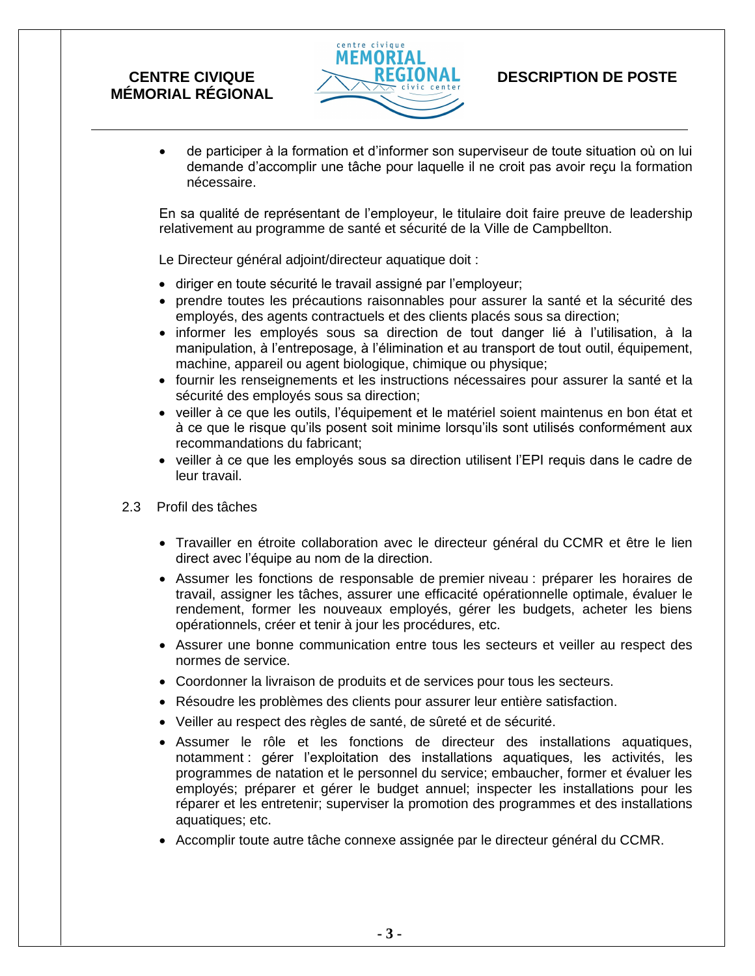

## **DESCRIPTION DE POSTE**

• de participer à la formation et d'informer son superviseur de toute situation où on lui demande d'accomplir une tâche pour laquelle il ne croit pas avoir reçu la formation nécessaire.

En sa qualité de représentant de l'employeur, le titulaire doit faire preuve de leadership relativement au programme de santé et sécurité de la Ville de Campbellton.

Le Directeur général adjoint/directeur aquatique doit :

- diriger en toute sécurité le travail assigné par l'employeur;
- prendre toutes les précautions raisonnables pour assurer la santé et la sécurité des employés, des agents contractuels et des clients placés sous sa direction;
- informer les employés sous sa direction de tout danger lié à l'utilisation, à la manipulation, à l'entreposage, à l'élimination et au transport de tout outil, équipement, machine, appareil ou agent biologique, chimique ou physique;
- fournir les renseignements et les instructions nécessaires pour assurer la santé et la sécurité des employés sous sa direction;
- veiller à ce que les outils, l'équipement et le matériel soient maintenus en bon état et à ce que le risque qu'ils posent soit minime lorsqu'ils sont utilisés conformément aux recommandations du fabricant;
- veiller à ce que les employés sous sa direction utilisent l'EPI requis dans le cadre de leur travail.
- 2.3 Profil des tâches
	- Travailler en étroite collaboration avec le directeur général du CCMR et être le lien direct avec l'équipe au nom de la direction.
	- Assumer les fonctions de responsable de premier niveau : préparer les horaires de travail, assigner les tâches, assurer une efficacité opérationnelle optimale, évaluer le rendement, former les nouveaux employés, gérer les budgets, acheter les biens opérationnels, créer et tenir à jour les procédures, etc.
	- Assurer une bonne communication entre tous les secteurs et veiller au respect des normes de service.
	- Coordonner la livraison de produits et de services pour tous les secteurs.
	- Résoudre les problèmes des clients pour assurer leur entière satisfaction.
	- Veiller au respect des règles de santé, de sûreté et de sécurité.
	- Assumer le rôle et les fonctions de directeur des installations aquatiques, notamment : gérer l'exploitation des installations aquatiques, les activités, les programmes de natation et le personnel du service; embaucher, former et évaluer les employés; préparer et gérer le budget annuel; inspecter les installations pour les réparer et les entretenir; superviser la promotion des programmes et des installations aquatiques; etc.
	- Accomplir toute autre tâche connexe assignée par le directeur général du CCMR.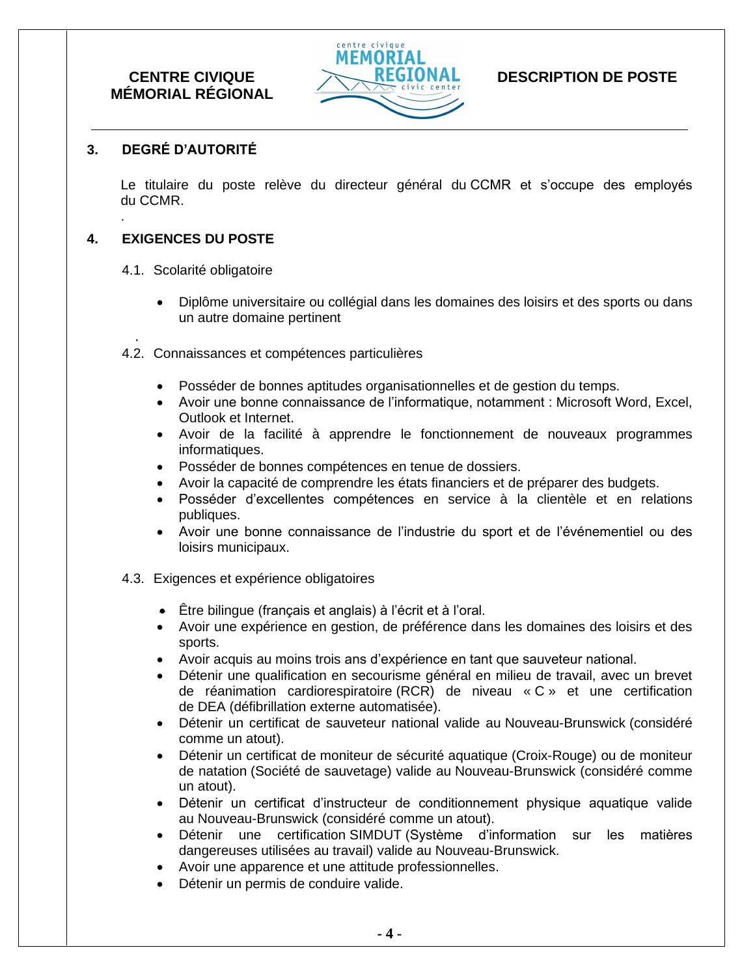

## **DESCRIPTION DE POSTE**

### **3. DEGRÉ D'AUTORITÉ**

Le titulaire du poste relève du directeur général du CCMR et s'occupe des employés du CCMR.

### **4. EXIGENCES DU POSTE**

.

.

- 4.1. Scolarité obligatoire
	- Diplôme universitaire ou collégial dans les domaines des loisirs et des sports ou dans un autre domaine pertinent
- 4.2. Connaissances et compétences particulières
	- Posséder de bonnes aptitudes organisationnelles et de gestion du temps.
	- Avoir une bonne connaissance de l'informatique, notamment : Microsoft Word, Excel, Outlook et Internet.
	- Avoir de la facilité à apprendre le fonctionnement de nouveaux programmes informatiques.
	- Posséder de bonnes compétences en tenue de dossiers.
	- Avoir la capacité de comprendre les états financiers et de préparer des budgets.
	- Posséder d'excellentes compétences en service à la clientèle et en relations publiques.
	- Avoir une bonne connaissance de l'industrie du sport et de l'événementiel ou des loisirs municipaux.
- 4.3. Exigences et expérience obligatoires
	- Être bilingue (français et anglais) à l'écrit et à l'oral.
	- Avoir une expérience en gestion, de préférence dans les domaines des loisirs et des sports.
	- Avoir acquis au moins trois ans d'expérience en tant que sauveteur national.
	- Détenir une qualification en secourisme général en milieu de travail, avec un brevet de réanimation cardiorespiratoire (RCR) de niveau « C » et une certification de DEA (défibrillation externe automatisée).
	- Détenir un certificat de sauveteur national valide au Nouveau-Brunswick (considéré comme un atout).
	- Détenir un certificat de moniteur de sécurité aquatique (Croix-Rouge) ou de moniteur de natation (Société de sauvetage) valide au Nouveau-Brunswick (considéré comme un atout).
	- Détenir un certificat d'instructeur de conditionnement physique aquatique valide au Nouveau-Brunswick (considéré comme un atout).
	- Détenir une certification SIMDUT (Système d'information sur les matières dangereuses utilisées au travail) valide au Nouveau-Brunswick.
	- Avoir une apparence et une attitude professionnelles.
	- Détenir un permis de conduire valide.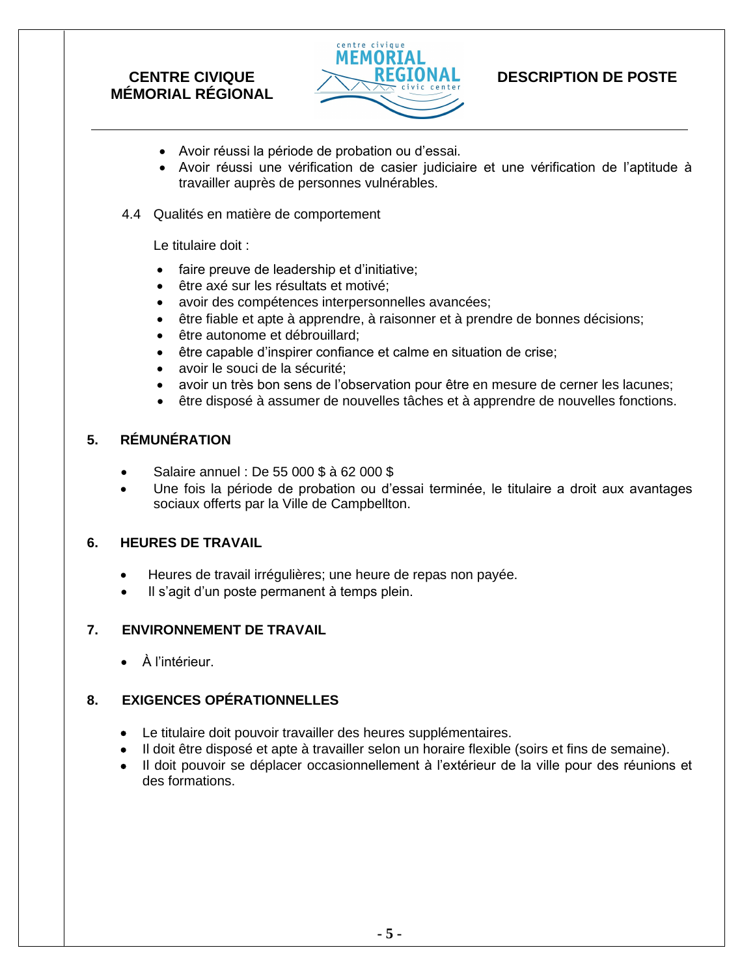

## **DESCRIPTION DE POSTE**

- Avoir réussi la période de probation ou d'essai.
- Avoir réussi une vérification de casier judiciaire et une vérification de l'aptitude à travailler auprès de personnes vulnérables.
- 4.4 Qualités en matière de comportement

Le titulaire doit :

- faire preuve de leadership et d'initiative;
- être axé sur les résultats et motivé;
- avoir des compétences interpersonnelles avancées;
- être fiable et apte à apprendre, à raisonner et à prendre de bonnes décisions;
- être autonome et débrouillard:
- être capable d'inspirer confiance et calme en situation de crise;
- avoir le souci de la sécurité;
- avoir un très bon sens de l'observation pour être en mesure de cerner les lacunes;
- être disposé à assumer de nouvelles tâches et à apprendre de nouvelles fonctions.

### **5. RÉMUNÉRATION**

- Salaire annuel : De 55 000 \$ à 62 000 \$
- Une fois la période de probation ou d'essai terminée, le titulaire a droit aux avantages sociaux offerts par la Ville de Campbellton.

### **6. HEURES DE TRAVAIL**

- Heures de travail irrégulières; une heure de repas non payée.
- Il s'agit d'un poste permanent à temps plein.

### **7. ENVIRONNEMENT DE TRAVAIL**

• À l'intérieur.

### **8. EXIGENCES OPÉRATIONNELLES**

- Le titulaire doit pouvoir travailler des heures supplémentaires.
- Il doit être disposé et apte à travailler selon un horaire flexible (soirs et fins de semaine).
- Il doit pouvoir se déplacer occasionnellement à l'extérieur de la ville pour des réunions et des formations.